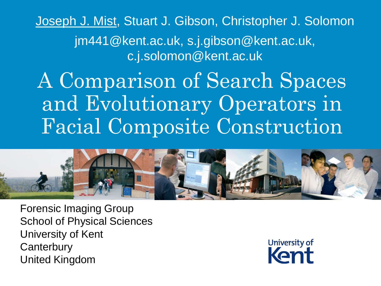Joseph J. Mist, Stuart J. Gibson, Christopher J. Solomon jm441@kent.ac.uk, s.j.gibson@kent.ac.uk, c.j.solomon@kent.ac.uk

A Comparison of Search Spaces and Evolutionary Operators in Facial Composite Construction



Forensic Imaging Group School of Physical Sciences University of Kent **Canterbury** United Kingdom

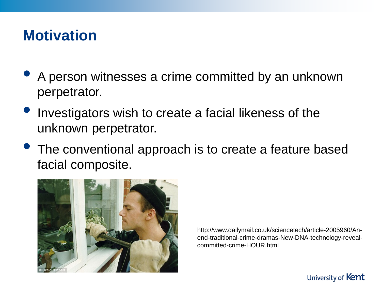## **Motivation**

- A person witnesses a crime committed by an unknown perpetrator.
- Investigators wish to create a facial likeness of the unknown perpetrator.
- The conventional approach is to create a feature based facial composite.



http://www.dailymail.co.uk/sciencetech/article-2005960/Anend-traditional-crime-dramas-New-DNA-technology-revealcommitted-crime-HOUR.html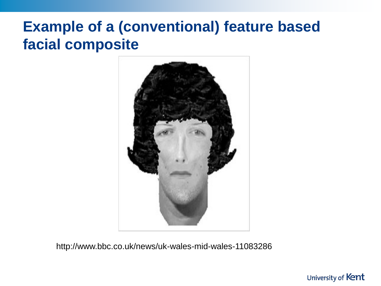# **Example of a (conventional) feature based facial composite**



http://www.bbc.co.uk/news/uk-wales-mid-wales-11083286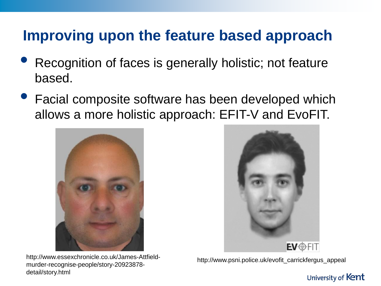# **Improving upon the feature based approach**

- Recognition of faces is generally holistic; not feature based.
- Facial composite software has been developed which allows a more holistic approach: EFIT-V and EvoFIT.



http://www.essexchronicle.co.uk/James-Attfieldmurder-recognise-people/story-20923878 detail/story.html



http://www.psni.police.uk/evofit\_carrickfergus\_appeal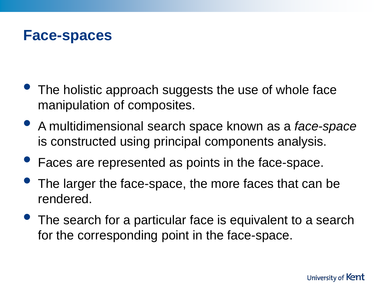

- The holistic approach suggests the use of whole face manipulation of composites.
- A multidimensional search space known as a *face-space*  is constructed using principal components analysis.
- Faces are represented as points in the face-space.
- The larger the face-space, the more faces that can be rendered.
- The search for a particular face is equivalent to a search for the corresponding point in the face-space.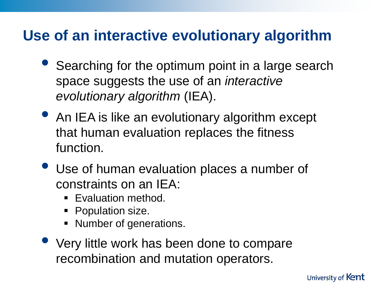# **Use of an interactive evolutionary algorithm**

- Searching for the optimum point in a large search space suggests the use of an *interactive evolutionary algorithm* (IEA).
- An IEA is like an evolutionary algorithm except that human evaluation replaces the fitness function.
- Use of human evaluation places a number of constraints on an IEA:
	- **Evaluation method.**
	- Population size.
	- **Number of generations.**
- Very little work has been done to compare recombination and mutation operators.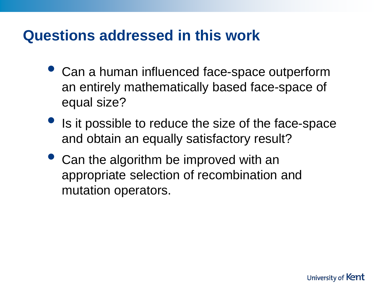### **Questions addressed in this work**

- Can a human influenced face-space outperform an entirely mathematically based face-space of equal size?
- Is it possible to reduce the size of the face-space and obtain an equally satisfactory result?
- Can the algorithm be improved with an appropriate selection of recombination and mutation operators.

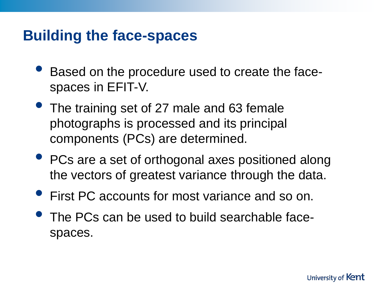### **Building the face-spaces**

- Based on the procedure used to create the facespaces in EFIT-V.
- The training set of 27 male and 63 female photographs is processed and its principal components (PCs) are determined.
- PCs are a set of orthogonal axes positioned along the vectors of greatest variance through the data.
- First PC accounts for most variance and so on.
- The PCs can be used to build searchable facespaces.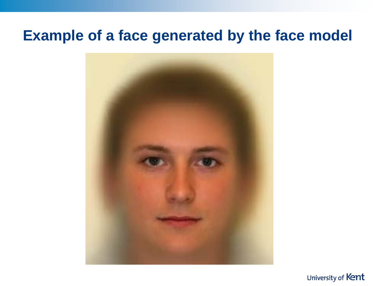### **Example of a face generated by the face model**



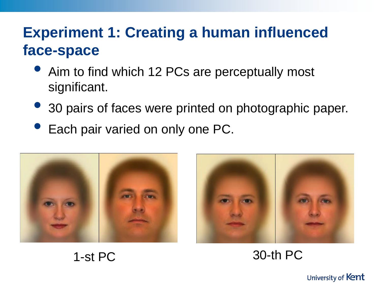# **Experiment 1: Creating a human influenced face-space**

- Aim to find which 12 PCs are perceptually most significant.
- <sup>3</sup> 30 pairs of faces were printed on photographic paper.
- Each pair varied on only one PC.





1-st PC 30-th PC

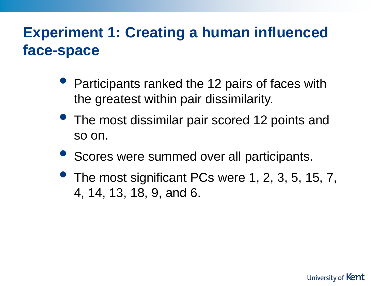# **Experiment 1: Creating a human influenced face-space**

- Participants ranked the 12 pairs of faces with the greatest within pair dissimilarity.
- The most dissimilar pair scored 12 points and so on.
- Scores were summed over all participants.
- **The most significant PCs were 1, 2, 3, 5, 15, 7,** 4, 14, 13, 18, 9, and 6.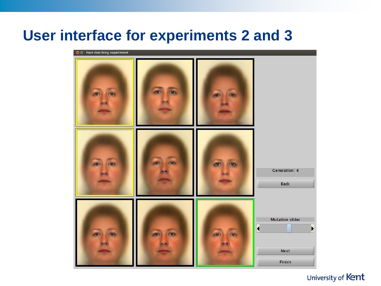### **User interface for experiments 2 and 3**

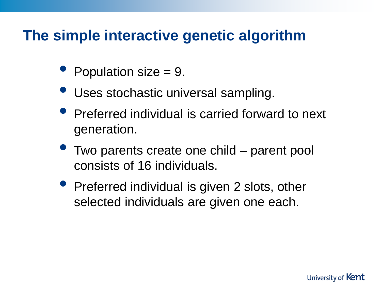## **The simple interactive genetic algorithm**

- Population size  $= 9$ .
- Uses stochastic universal sampling.
- Preferred individual is carried forward to next generation.
- Two parents create one child parent pool consists of 16 individuals.
- Preferred individual is given 2 slots, other selected individuals are given one each.

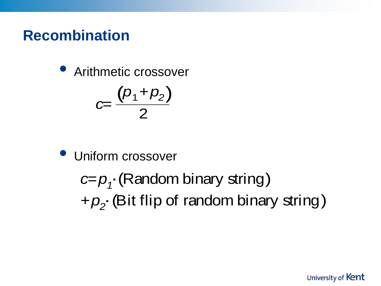## **Recombination**

• Arithmetic crossover

$$
C=\frac{(p_1+p_2)}{2}
$$

Uniform crossover

*c=p1* ⋅(Random binary string) *+p2* ⋅(Bit flip of random binary string)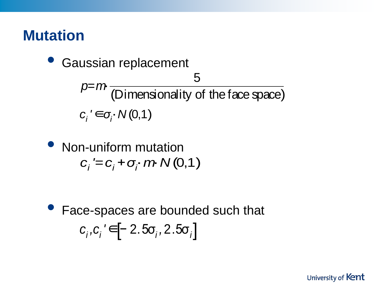## **Mutation**

*ci '*∈*σ<sup>i</sup>* ⋅*N* (0,1) *p=m*<sup>⋅</sup> <sup>5</sup> (Dimensionality of the face space) Gaussian replacement

*ci '=ci +σ<sup>i</sup>* ⋅*m*⋅*N* (0,1) • Non-uniform mutation

• Face-spaces are bounded such that  $c_i$ , $c_i$ ' $\in$ [− 2.5 $\sigma_i$ ,2.5 $\sigma_i$ ]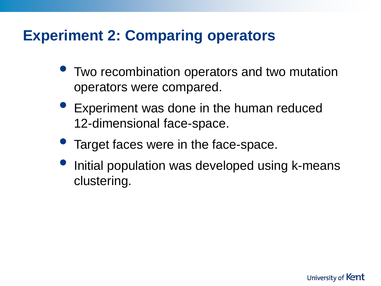# **Experiment 2: Comparing operators**

- Two recombination operators and two mutation operators were compared.
- Experiment was done in the human reduced 12-dimensional face-space.
- Target faces were in the face-space.
- Initial population was developed using k-means clustering.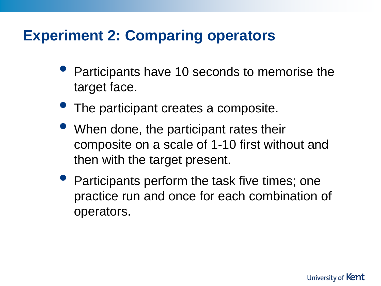## **Experiment 2: Comparing operators**

- Participants have 10 seconds to memorise the target face.
- The participant creates a composite.
- When done, the participant rates their composite on a scale of 1-10 first without and then with the target present.
- Participants perform the task five times; one practice run and once for each combination of operators.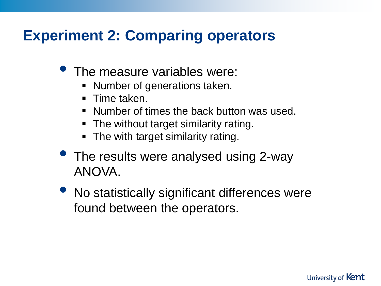# **Experiment 2: Comparing operators**

- The measure variables were:
	- **Number of generations taken.**
	- **Time taken.**
	- Number of times the back button was used.
	- The without target similarity rating.
	- The with target similarity rating.
- The results were analysed using 2-way ANOVA.
- No statistically significant differences were found between the operators.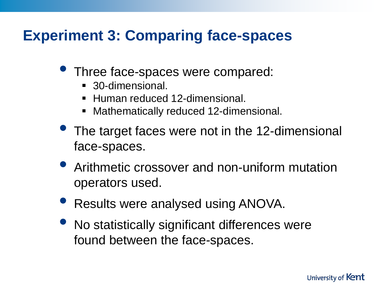# **Experiment 3: Comparing face-spaces**

- Three face-spaces were compared:
	- 30-dimensional.
	- Human reduced 12-dimensional.
	- Mathematically reduced 12-dimensional.
- The target faces were not in the 12-dimensional face-spaces.
- Arithmetic crossover and non-uniform mutation operators used.
- Results were analysed using ANOVA.
- No statistically significant differences were found between the face-spaces.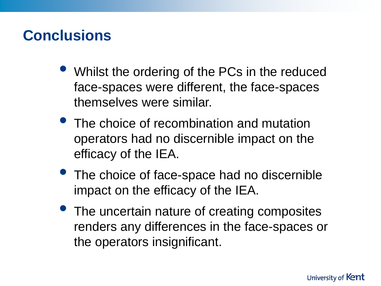### **Conclusions**

- Whilst the ordering of the PCs in the reduced face-spaces were different, the face-spaces themselves were similar.
- The choice of recombination and mutation operators had no discernible impact on the efficacy of the IEA.
- The choice of face-space had no discernible impact on the efficacy of the IEA.
- The uncertain nature of creating composites renders any differences in the face-spaces or the operators insignificant.